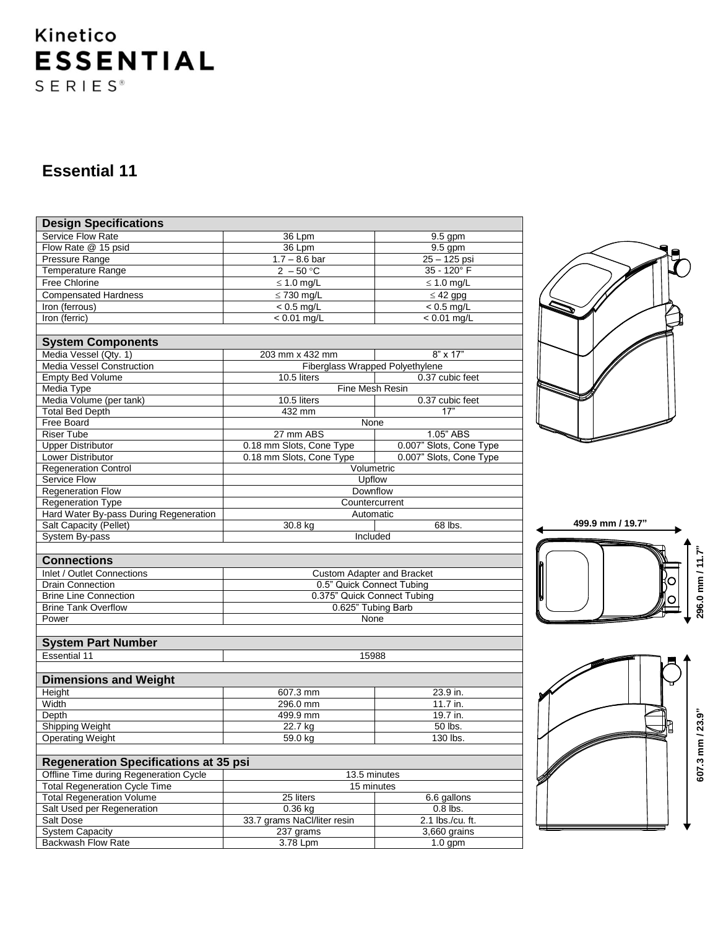# Kinetico **ESSENTIAL**  $S E R I E S$ <sup>®</sup>

### **Essential 11**

| <b>Design Specifications</b>                 |                                   |                         |  |  |  |  |  |  |
|----------------------------------------------|-----------------------------------|-------------------------|--|--|--|--|--|--|
| Service Flow Rate                            | 36 Lpm                            | $9.5$ gpm               |  |  |  |  |  |  |
| Flow Rate @ 15 psid                          | 36 Lpm                            | 9.5 gpm                 |  |  |  |  |  |  |
| <b>Pressure Range</b>                        | $1.7 - 8.6$ bar                   | $25 - 125$ psi          |  |  |  |  |  |  |
| <b>Temperature Range</b>                     | $2 - 50^{\circ}$ C                | 35 - 120° F             |  |  |  |  |  |  |
| Free Chlorine                                | $\leq 1.0$ mg/L                   | $\leq 1.0$ mg/L         |  |  |  |  |  |  |
| <b>Compensated Hardness</b>                  | $\leq$ 730 mg/L                   | $\leq$ 42 gpg           |  |  |  |  |  |  |
| Iron (ferrous)                               | $< 0.5$ mg/L                      | $< 0.5$ mg/L            |  |  |  |  |  |  |
| Iron (ferric)                                | $< 0.01$ mg/L                     | $< 0.01$ mg/L           |  |  |  |  |  |  |
|                                              |                                   |                         |  |  |  |  |  |  |
| <b>System Components</b>                     |                                   |                         |  |  |  |  |  |  |
| Media Vessel (Qty. 1)                        | 203 mm x 432 mm                   | $8" \times 17"$         |  |  |  |  |  |  |
| <b>Media Vessel Construction</b>             | Fiberglass Wrapped Polyethylene   |                         |  |  |  |  |  |  |
| <b>Empty Bed Volume</b>                      | 10.5 liters                       | 0.37 cubic feet         |  |  |  |  |  |  |
| Media Type                                   | Fine Mesh Resin                   |                         |  |  |  |  |  |  |
| Media Volume (per tank)                      | 10.5 liters                       | 0.37 cubic feet         |  |  |  |  |  |  |
| <b>Total Bed Depth</b>                       | 432 mm                            | 17"                     |  |  |  |  |  |  |
| Free Board                                   | None                              |                         |  |  |  |  |  |  |
| <b>Riser Tube</b>                            | 27 mm ABS                         | 1.05" ABS               |  |  |  |  |  |  |
| <b>Upper Distributor</b>                     | 0.18 mm Slots, Cone Type          | 0.007" Slots, Cone Type |  |  |  |  |  |  |
| Lower Distributor                            | 0.18 mm Slots, Cone Type          | 0.007" Slots, Cone Type |  |  |  |  |  |  |
| <b>Regeneration Control</b>                  | Volumetric                        |                         |  |  |  |  |  |  |
| Service Flow                                 | Upflow                            |                         |  |  |  |  |  |  |
| <b>Regeneration Flow</b>                     | Downflow                          |                         |  |  |  |  |  |  |
| Regeneration Type                            | Countercurrent                    |                         |  |  |  |  |  |  |
| Hard Water By-pass During Regeneration       | Automatic                         |                         |  |  |  |  |  |  |
| <b>Salt Capacity (Pellet)</b>                | 30.8 kg                           | 68 lbs.                 |  |  |  |  |  |  |
| System By-pass                               | Included                          |                         |  |  |  |  |  |  |
|                                              |                                   |                         |  |  |  |  |  |  |
| <b>Connections</b>                           |                                   |                         |  |  |  |  |  |  |
| Inlet / Outlet Connections                   | <b>Custom Adapter and Bracket</b> |                         |  |  |  |  |  |  |
| Drain Connection                             | 0.5" Quick Connect Tubing         |                         |  |  |  |  |  |  |
| <b>Brine Line Connection</b>                 | 0.375" Quick Connect Tubing       |                         |  |  |  |  |  |  |
| <b>Brine Tank Overflow</b>                   | 0.625" Tubing Barb                |                         |  |  |  |  |  |  |
| Power                                        | None                              |                         |  |  |  |  |  |  |
|                                              |                                   |                         |  |  |  |  |  |  |
| <b>System Part Number</b>                    |                                   |                         |  |  |  |  |  |  |
| <b>Essential 11</b>                          | 15988                             |                         |  |  |  |  |  |  |
|                                              |                                   |                         |  |  |  |  |  |  |
| <b>Dimensions and Weight</b>                 |                                   |                         |  |  |  |  |  |  |
| Height                                       | 607.3 mm                          | 23.9 in.                |  |  |  |  |  |  |
| Width                                        | 296.0 mm                          | 11.7 in.                |  |  |  |  |  |  |
| Depth                                        | 499.9 mm                          | 19.7 in.                |  |  |  |  |  |  |
| <b>Shipping Weight</b>                       | 22.7 kg                           | 50 lbs.                 |  |  |  |  |  |  |
| <b>Operating Weight</b>                      | $59.0$ kg                         | 130 lbs.                |  |  |  |  |  |  |
|                                              |                                   |                         |  |  |  |  |  |  |
| <b>Regeneration Specifications at 35 psi</b> |                                   |                         |  |  |  |  |  |  |
| Offline Time during Regeneration Cycle       | $13.5$ minutes                    |                         |  |  |  |  |  |  |
| <b>Total Regeneration Cycle Time</b>         | 15 minutes                        |                         |  |  |  |  |  |  |
| <b>Total Regeneration Volume</b>             | 25 liters                         | 6.6 gallons             |  |  |  |  |  |  |
| Salt Used per Regeneration                   | $0.36$ kg                         | $0.8$ lbs.              |  |  |  |  |  |  |
| Salt Dose                                    | 33.7 grams NaCl/liter resin       | 2.1 lbs./cu. ft.        |  |  |  |  |  |  |
| <b>System Capacity</b>                       | 237 grams                         | 3,660 grains            |  |  |  |  |  |  |

Backwash Flow Rate 3.78 Lpm 3.78 Lpm 1.0 gpm